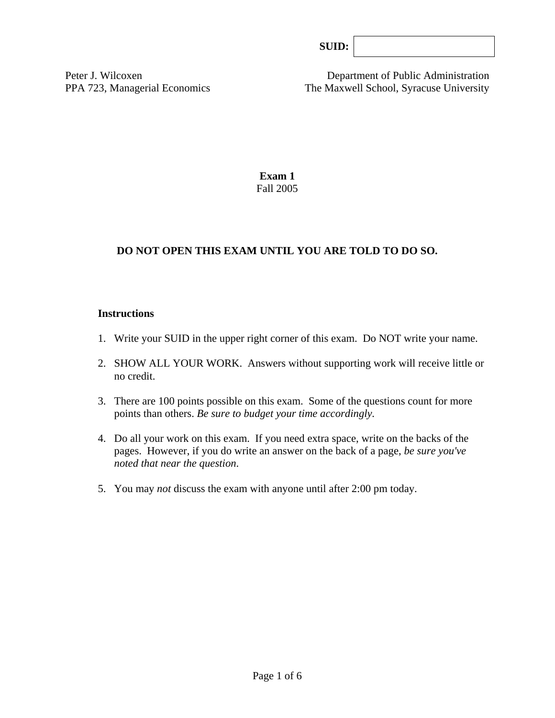| SUB: |  |
|------|--|
|------|--|

Peter J. Wilcoxen Department of Public Administration PPA 723, Managerial Economics The Maxwell School, Syracuse University

> **Exam 1**  Fall 2005

# **DO NOT OPEN THIS EXAM UNTIL YOU ARE TOLD TO DO SO.**

#### **Instructions**

- 1. Write your SUID in the upper right corner of this exam. Do NOT write your name.
- 2. SHOW ALL YOUR WORK. Answers without supporting work will receive little or no credit.
- 3. There are 100 points possible on this exam. Some of the questions count for more points than others. *Be sure to budget your time accordingly.*
- 4. Do all your work on this exam. If you need extra space, write on the backs of the pages. However, if you do write an answer on the back of a page, *be sure you've noted that near the question*.
- 5. You may *not* discuss the exam with anyone until after 2:00 pm today.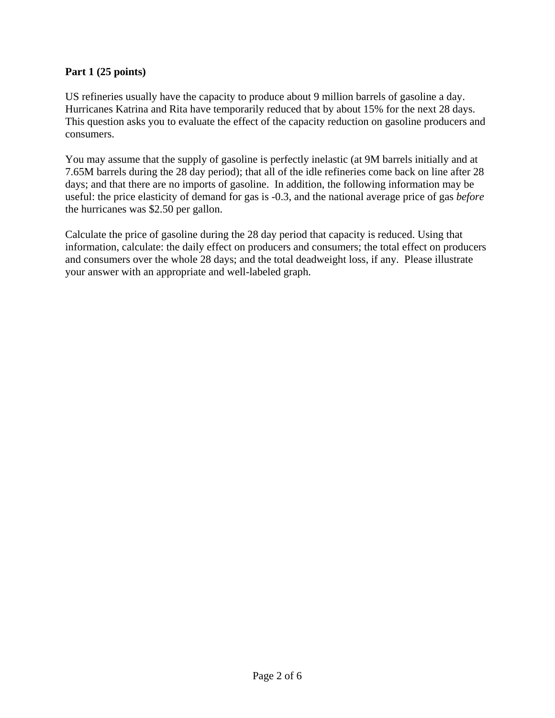# **Part 1 (25 points)**

US refineries usually have the capacity to produce about 9 million barrels of gasoline a day. Hurricanes Katrina and Rita have temporarily reduced that by about 15% for the next 28 days. This question asks you to evaluate the effect of the capacity reduction on gasoline producers and consumers.

You may assume that the supply of gasoline is perfectly inelastic (at 9M barrels initially and at 7.65M barrels during the 28 day period); that all of the idle refineries come back on line after 28 days; and that there are no imports of gasoline. In addition, the following information may be useful: the price elasticity of demand for gas is -0.3, and the national average price of gas *before* the hurricanes was \$2.50 per gallon.

Calculate the price of gasoline during the 28 day period that capacity is reduced. Using that information, calculate: the daily effect on producers and consumers; the total effect on producers and consumers over the whole 28 days; and the total deadweight loss, if any. Please illustrate your answer with an appropriate and well-labeled graph.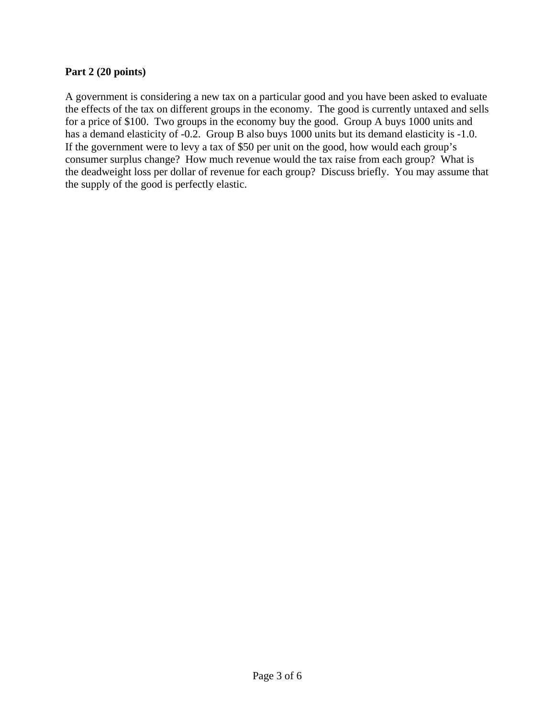### **Part 2 (20 points)**

A government is considering a new tax on a particular good and you have been asked to evaluate the effects of the tax on different groups in the economy. The good is currently untaxed and sells for a price of \$100. Two groups in the economy buy the good. Group A buys 1000 units and has a demand elasticity of -0.2. Group B also buys 1000 units but its demand elasticity is -1.0. If the government were to levy a tax of \$50 per unit on the good, how would each group's consumer surplus change? How much revenue would the tax raise from each group? What is the deadweight loss per dollar of revenue for each group? Discuss briefly. You may assume that the supply of the good is perfectly elastic.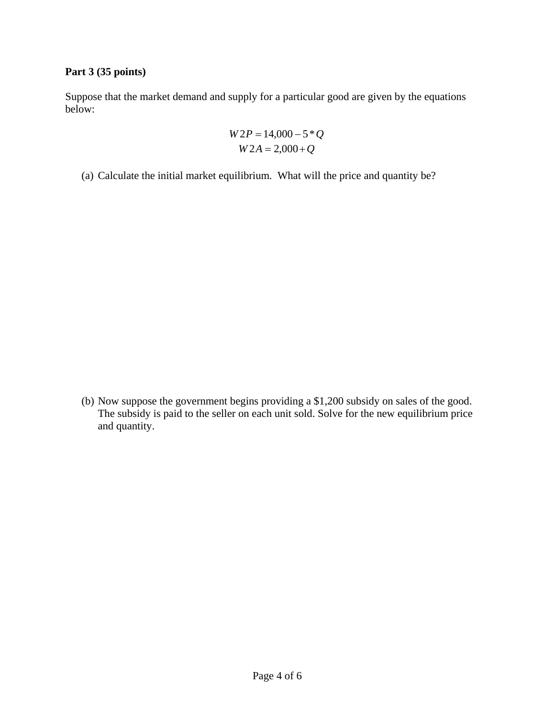# **Part 3 (35 points)**

Suppose that the market demand and supply for a particular good are given by the equations below:

$$
W2P = 14,000 - 5 \cdot Q
$$
  

$$
W2A = 2,000 + Q
$$

(a) Calculate the initial market equilibrium. What will the price and quantity be?

(b) Now suppose the government begins providing a \$1,200 subsidy on sales of the good. The subsidy is paid to the seller on each unit sold. Solve for the new equilibrium price and quantity.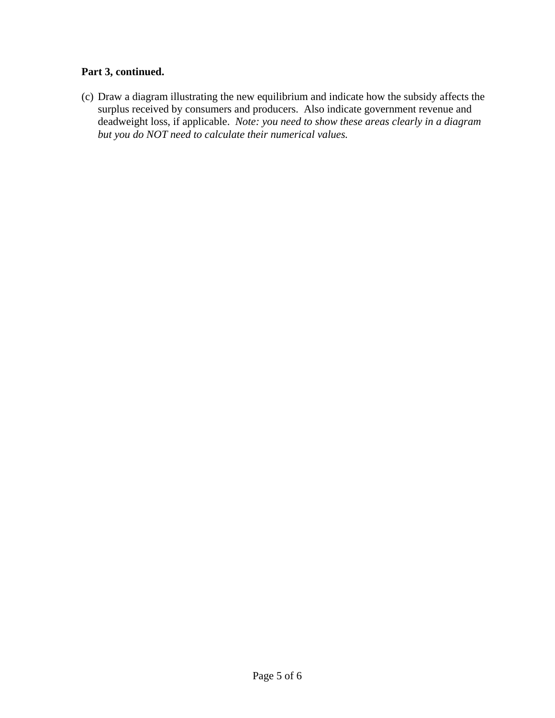# **Part 3, continued.**

(c) Draw a diagram illustrating the new equilibrium and indicate how the subsidy affects the surplus received by consumers and producers. Also indicate government revenue and deadweight loss, if applicable. *Note: you need to show these areas clearly in a diagram but you do NOT need to calculate their numerical values.*